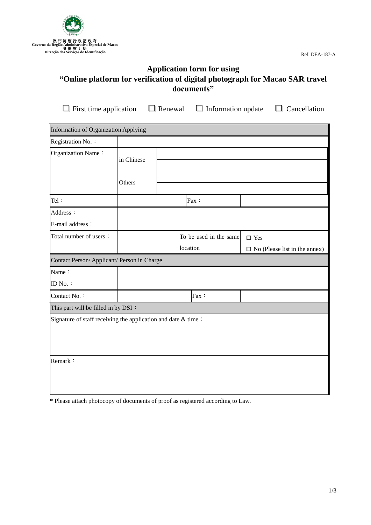

Ref: DEA-187-A

# **Application form for using "Online platform for verification of digital photograph for Macao SAR travel documents"**

**□**First time application **□** Renewal **□**Information update **□** Cancellation

| Information of Organization Applying                            |            |  |  |                        |                                      |  |
|-----------------------------------------------------------------|------------|--|--|------------------------|--------------------------------------|--|
| Registration No.:                                               |            |  |  |                        |                                      |  |
| Organization Name:                                              | in Chinese |  |  |                        |                                      |  |
|                                                                 | Others     |  |  |                        |                                      |  |
| Tel:                                                            |            |  |  | Fax:                   |                                      |  |
| Address:                                                        |            |  |  |                        |                                      |  |
| E-mail address:                                                 |            |  |  |                        |                                      |  |
| Total number of users:                                          |            |  |  | To be used in the same | $\square$ Yes                        |  |
|                                                                 |            |  |  | location               | $\Box$ No (Please list in the annex) |  |
| Contact Person/Applicant/ Person in Charge                      |            |  |  |                        |                                      |  |
| Name:                                                           |            |  |  |                        |                                      |  |
| ID No.:                                                         |            |  |  |                        |                                      |  |
| Contact No.:                                                    |            |  |  | $Fax$ :                |                                      |  |
| This part will be filled in by DSI:                             |            |  |  |                        |                                      |  |
| Signature of staff receiving the application and date $&$ time: |            |  |  |                        |                                      |  |
| Remark:                                                         |            |  |  |                        |                                      |  |

**\*** Please attach photocopy of documents of proof as registered according to Law.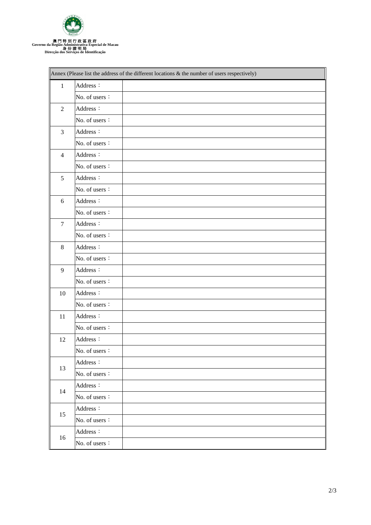

|                | Annex (Please list the address of the different locations & the number of users respectively) |  |
|----------------|-----------------------------------------------------------------------------------------------|--|
| $\mathbf{1}$   | Address:                                                                                      |  |
|                | No. of users:                                                                                 |  |
| $\overline{2}$ | Address:                                                                                      |  |
|                | No. of users:                                                                                 |  |
| $\mathfrak{Z}$ | Address:                                                                                      |  |
|                | No. of users:                                                                                 |  |
| $\overline{4}$ | Address:                                                                                      |  |
|                | No. of users:                                                                                 |  |
| 5              | Address:                                                                                      |  |
|                | No. of users:                                                                                 |  |
| 6              | Address:                                                                                      |  |
|                | No. of users $\colon$                                                                         |  |
| $\overline{7}$ | Address:                                                                                      |  |
|                | No. of users:                                                                                 |  |
| 8              | Address:                                                                                      |  |
|                | No. of users:                                                                                 |  |
| 9              | Address:                                                                                      |  |
|                | No. of users:                                                                                 |  |
| 10             | Address:                                                                                      |  |
|                | No. of users:                                                                                 |  |
| 11             | Address:                                                                                      |  |
|                | No. of users:                                                                                 |  |
| 12             | Address:                                                                                      |  |
|                | No. of users:                                                                                 |  |
| 13             | Address:                                                                                      |  |
|                | No. of users:                                                                                 |  |
| 14             | Address:                                                                                      |  |
|                | No. of users:                                                                                 |  |
| 15             | Address:                                                                                      |  |
|                | No. of users:                                                                                 |  |
| $16\,$         | Address:                                                                                      |  |
|                | No. of users:                                                                                 |  |